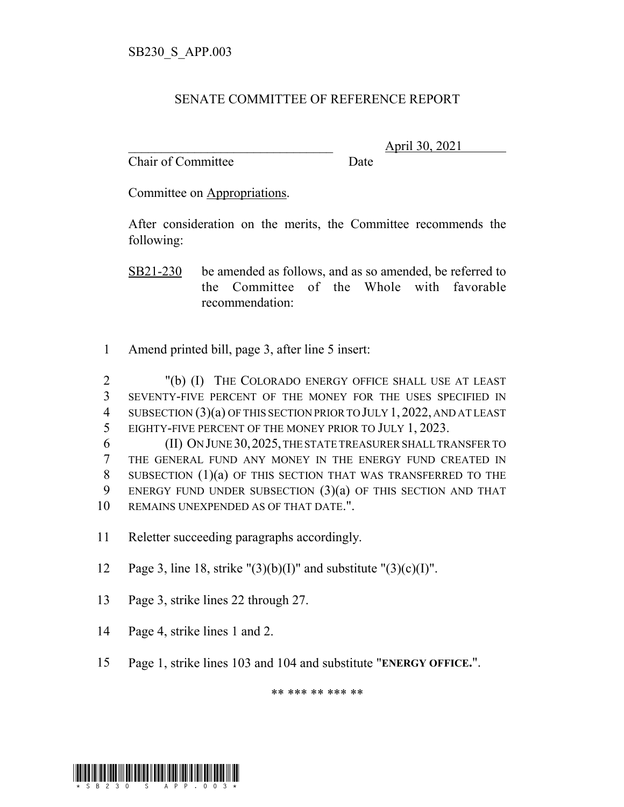## SENATE COMMITTEE OF REFERENCE REPORT

Chair of Committee Date

\_\_\_\_\_\_\_\_\_\_\_\_\_\_\_\_\_\_\_\_\_\_\_\_\_\_\_\_\_\_\_ April 30, 2021

Committee on Appropriations.

After consideration on the merits, the Committee recommends the following:

SB21-230 be amended as follows, and as so amended, be referred to the Committee of the Whole with favorable recommendation:

1 Amend printed bill, page 3, after line 5 insert:

 "(b) (I) THE COLORADO ENERGY OFFICE SHALL USE AT LEAST SEVENTY-FIVE PERCENT OF THE MONEY FOR THE USES SPECIFIED IN 4 SUBSECTION (3)(a) OF THIS SECTION PRIOR TO JULY 1, 2022, AND AT LEAST EIGHTY-FIVE PERCENT OF THE MONEY PRIOR TO JULY 1, 2023.

 (II) ON JUNE 30,2025, THE STATE TREASURER SHALL TRANSFER TO THE GENERAL FUND ANY MONEY IN THE ENERGY FUND CREATED IN SUBSECTION (1)(a) OF THIS SECTION THAT WAS TRANSFERRED TO THE ENERGY FUND UNDER SUBSECTION (3)(a) OF THIS SECTION AND THAT REMAINS UNEXPENDED AS OF THAT DATE.".

11 Reletter succeeding paragraphs accordingly.

12 Page 3, line 18, strike " $(3)(b)(I)$ " and substitute " $(3)(c)(I)$ ".

- 13 Page 3, strike lines 22 through 27.
- 14 Page 4, strike lines 1 and 2.
- 15 Page 1, strike lines 103 and 104 and substitute "**ENERGY OFFICE.**".

\*\* \*\*\* \*\* \*\*\* \*\*